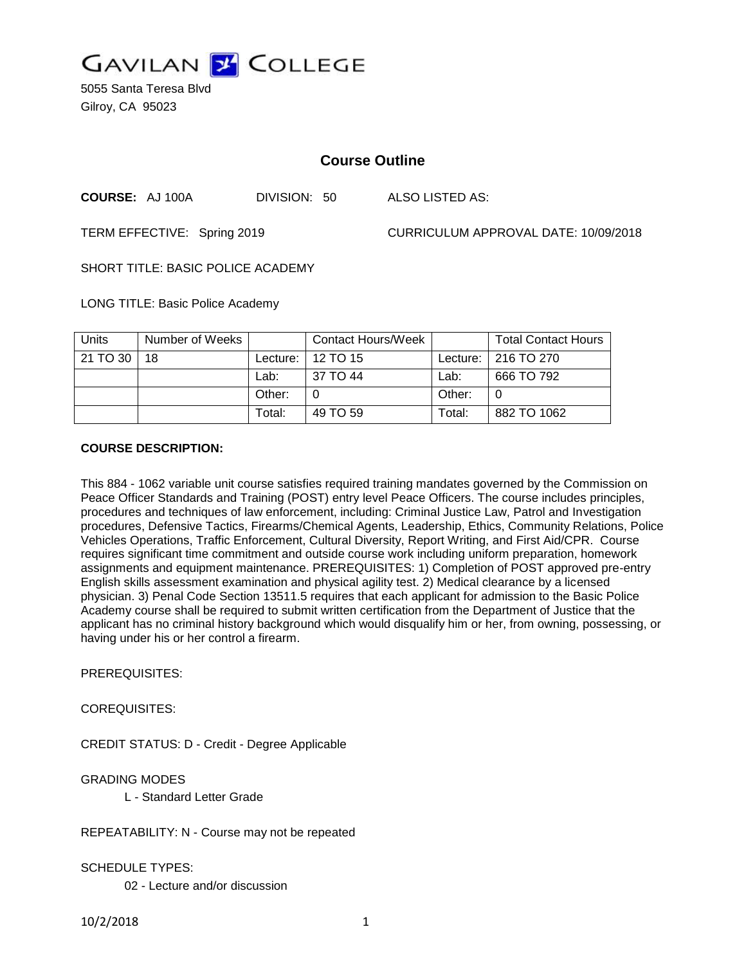

5055 Santa Teresa Blvd Gilroy, CA 95023

# **Course Outline**

**COURSE:** AJ 100A DIVISION: 50 ALSO LISTED AS:

TERM EFFECTIVE: Spring 2019 CURRICULUM APPROVAL DATE: 10/09/2018

SHORT TITLE: BASIC POLICE ACADEMY

LONG TITLE: Basic Police Academy

| Units    | Number of Weeks |          | Contact Hours/Week |          | <b>Total Contact Hours</b> |
|----------|-----------------|----------|--------------------|----------|----------------------------|
| 21 TO 30 | 18              | Lecture: | 12 TO 15           | Lecture: | $\pm 216$ TO 270           |
|          |                 | Lab:     | 37 TO 44           | Lab:     | 666 TO 792                 |
|          |                 | Other:   |                    | Other:   |                            |
|          |                 | Total:   | 49 TO 59           | Total:   | 882 TO 1062                |

#### **COURSE DESCRIPTION:**

This 884 - 1062 variable unit course satisfies required training mandates governed by the Commission on Peace Officer Standards and Training (POST) entry level Peace Officers. The course includes principles, procedures and techniques of law enforcement, including: Criminal Justice Law, Patrol and Investigation procedures, Defensive Tactics, Firearms/Chemical Agents, Leadership, Ethics, Community Relations, Police Vehicles Operations, Traffic Enforcement, Cultural Diversity, Report Writing, and First Aid/CPR. Course requires significant time commitment and outside course work including uniform preparation, homework assignments and equipment maintenance. PREREQUISITES: 1) Completion of POST approved pre-entry English skills assessment examination and physical agility test. 2) Medical clearance by a licensed physician. 3) Penal Code Section 13511.5 requires that each applicant for admission to the Basic Police Academy course shall be required to submit written certification from the Department of Justice that the applicant has no criminal history background which would disqualify him or her, from owning, possessing, or having under his or her control a firearm.

PREREQUISITES:

COREQUISITES:

CREDIT STATUS: D - Credit - Degree Applicable

GRADING MODES

L - Standard Letter Grade

REPEATABILITY: N - Course may not be repeated

SCHEDULE TYPES:

02 - Lecture and/or discussion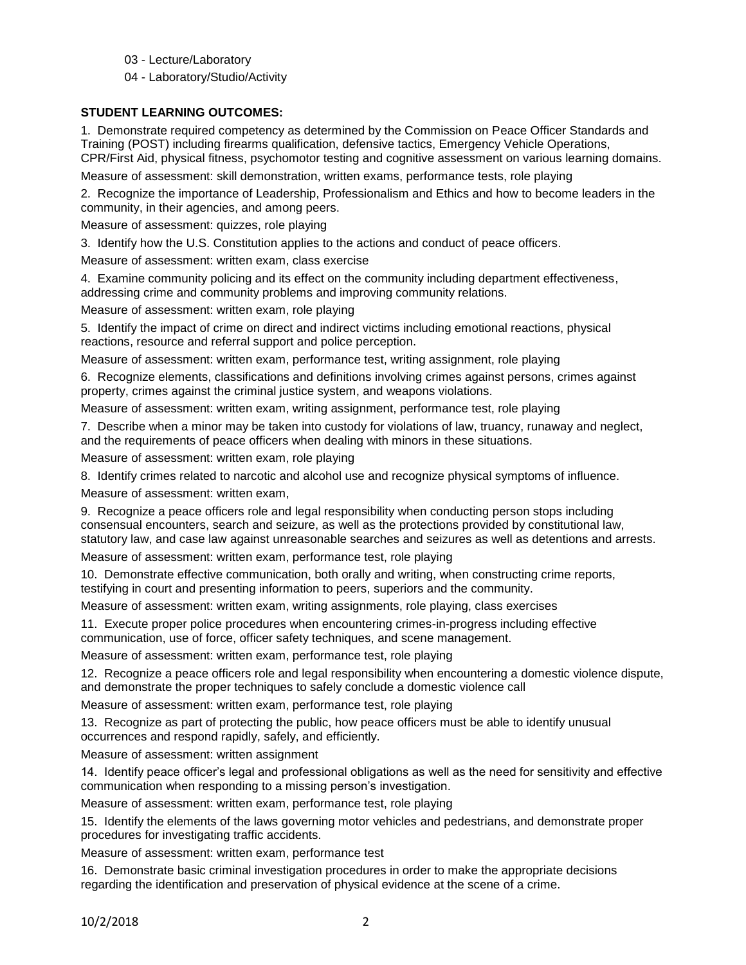- 03 Lecture/Laboratory
- 04 Laboratory/Studio/Activity

## **STUDENT LEARNING OUTCOMES:**

1. Demonstrate required competency as determined by the Commission on Peace Officer Standards and Training (POST) including firearms qualification, defensive tactics, Emergency Vehicle Operations, CPR/First Aid, physical fitness, psychomotor testing and cognitive assessment on various learning domains.

Measure of assessment: skill demonstration, written exams, performance tests, role playing

2. Recognize the importance of Leadership, Professionalism and Ethics and how to become leaders in the community, in their agencies, and among peers.

Measure of assessment: quizzes, role playing

3. Identify how the U.S. Constitution applies to the actions and conduct of peace officers.

Measure of assessment: written exam, class exercise

4. Examine community policing and its effect on the community including department effectiveness, addressing crime and community problems and improving community relations.

Measure of assessment: written exam, role playing

5. Identify the impact of crime on direct and indirect victims including emotional reactions, physical reactions, resource and referral support and police perception.

Measure of assessment: written exam, performance test, writing assignment, role playing

6. Recognize elements, classifications and definitions involving crimes against persons, crimes against property, crimes against the criminal justice system, and weapons violations.

Measure of assessment: written exam, writing assignment, performance test, role playing

7. Describe when a minor may be taken into custody for violations of law, truancy, runaway and neglect, and the requirements of peace officers when dealing with minors in these situations.

Measure of assessment: written exam, role playing

8. Identify crimes related to narcotic and alcohol use and recognize physical symptoms of influence.

Measure of assessment: written exam,

9. Recognize a peace officers role and legal responsibility when conducting person stops including consensual encounters, search and seizure, as well as the protections provided by constitutional law, statutory law, and case law against unreasonable searches and seizures as well as detentions and arrests.

Measure of assessment: written exam, performance test, role playing

10. Demonstrate effective communication, both orally and writing, when constructing crime reports, testifying in court and presenting information to peers, superiors and the community.

Measure of assessment: written exam, writing assignments, role playing, class exercises

11. Execute proper police procedures when encountering crimes-in-progress including effective communication, use of force, officer safety techniques, and scene management.

Measure of assessment: written exam, performance test, role playing

12. Recognize a peace officers role and legal responsibility when encountering a domestic violence dispute, and demonstrate the proper techniques to safely conclude a domestic violence call

Measure of assessment: written exam, performance test, role playing

13. Recognize as part of protecting the public, how peace officers must be able to identify unusual occurrences and respond rapidly, safely, and efficiently.

Measure of assessment: written assignment

14. Identify peace officer's legal and professional obligations as well as the need for sensitivity and effective communication when responding to a missing person's investigation.

Measure of assessment: written exam, performance test, role playing

15. Identify the elements of the laws governing motor vehicles and pedestrians, and demonstrate proper procedures for investigating traffic accidents.

Measure of assessment: written exam, performance test

16. Demonstrate basic criminal investigation procedures in order to make the appropriate decisions regarding the identification and preservation of physical evidence at the scene of a crime.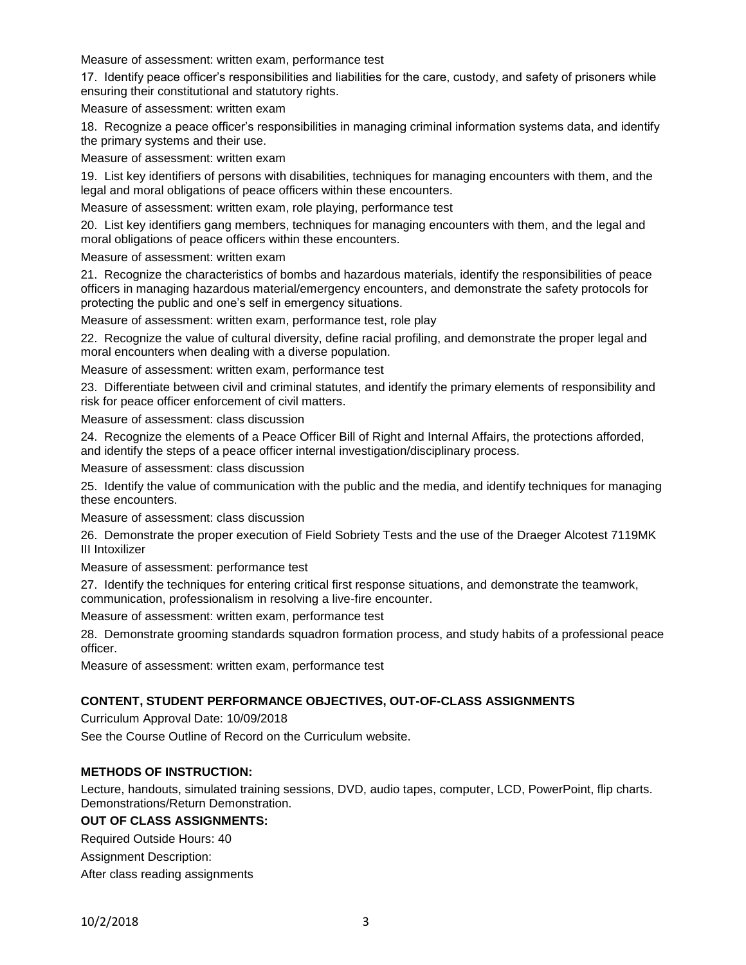Measure of assessment: written exam, performance test

17. Identify peace officer's responsibilities and liabilities for the care, custody, and safety of prisoners while ensuring their constitutional and statutory rights.

Measure of assessment: written exam

18. Recognize a peace officer's responsibilities in managing criminal information systems data, and identify the primary systems and their use.

Measure of assessment: written exam

19. List key identifiers of persons with disabilities, techniques for managing encounters with them, and the legal and moral obligations of peace officers within these encounters.

Measure of assessment: written exam, role playing, performance test

20. List key identifiers gang members, techniques for managing encounters with them, and the legal and moral obligations of peace officers within these encounters.

Measure of assessment: written exam

21. Recognize the characteristics of bombs and hazardous materials, identify the responsibilities of peace officers in managing hazardous material/emergency encounters, and demonstrate the safety protocols for protecting the public and one's self in emergency situations.

Measure of assessment: written exam, performance test, role play

22. Recognize the value of cultural diversity, define racial profiling, and demonstrate the proper legal and moral encounters when dealing with a diverse population.

Measure of assessment: written exam, performance test

23. Differentiate between civil and criminal statutes, and identify the primary elements of responsibility and risk for peace officer enforcement of civil matters.

Measure of assessment: class discussion

24. Recognize the elements of a Peace Officer Bill of Right and Internal Affairs, the protections afforded, and identify the steps of a peace officer internal investigation/disciplinary process.

Measure of assessment: class discussion

25. Identify the value of communication with the public and the media, and identify techniques for managing these encounters.

Measure of assessment: class discussion

26. Demonstrate the proper execution of Field Sobriety Tests and the use of the Draeger Alcotest 7119MK III Intoxilizer

Measure of assessment: performance test

27. Identify the techniques for entering critical first response situations, and demonstrate the teamwork, communication, professionalism in resolving a live-fire encounter.

Measure of assessment: written exam, performance test

28. Demonstrate grooming standards squadron formation process, and study habits of a professional peace officer.

Measure of assessment: written exam, performance test

### **CONTENT, STUDENT PERFORMANCE OBJECTIVES, OUT-OF-CLASS ASSIGNMENTS**

Curriculum Approval Date: 10/09/2018

See the Course Outline of Record on the Curriculum website.

### **METHODS OF INSTRUCTION:**

Lecture, handouts, simulated training sessions, DVD, audio tapes, computer, LCD, PowerPoint, flip charts. Demonstrations/Return Demonstration.

## **OUT OF CLASS ASSIGNMENTS:**

Required Outside Hours: 40

Assignment Description:

After class reading assignments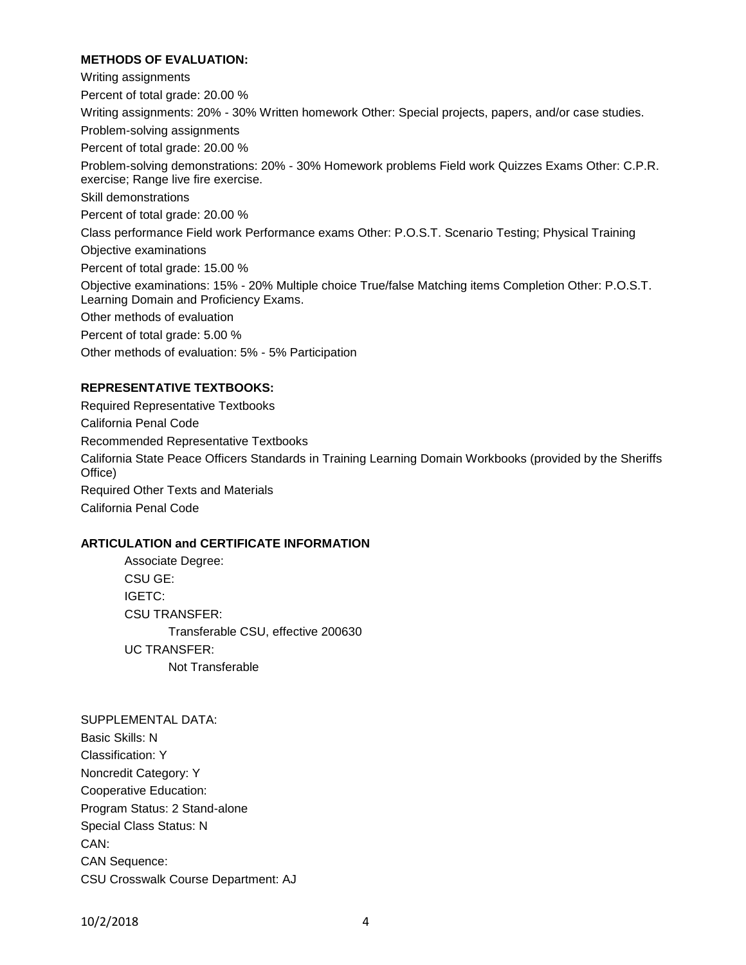### **METHODS OF EVALUATION:**

Writing assignments Percent of total grade: 20.00 % Writing assignments: 20% - 30% Written homework Other: Special projects, papers, and/or case studies. Problem-solving assignments Percent of total grade: 20.00 % Problem-solving demonstrations: 20% - 30% Homework problems Field work Quizzes Exams Other: C.P.R. exercise; Range live fire exercise. Skill demonstrations Percent of total grade: 20.00 % Class performance Field work Performance exams Other: P.O.S.T. Scenario Testing; Physical Training Objective examinations Percent of total grade: 15.00 % Objective examinations: 15% - 20% Multiple choice True/false Matching items Completion Other: P.O.S.T. Learning Domain and Proficiency Exams. Other methods of evaluation Percent of total grade: 5.00 % Other methods of evaluation: 5% - 5% Participation

#### **REPRESENTATIVE TEXTBOOKS:**

Required Representative Textbooks California Penal Code Recommended Representative Textbooks California State Peace Officers Standards in Training Learning Domain Workbooks (provided by the Sheriffs Office) Required Other Texts and Materials California Penal Code

### **ARTICULATION and CERTIFICATE INFORMATION**

Associate Degree: CSU GE: IGETC: CSU TRANSFER: Transferable CSU, effective 200630 UC TRANSFER: Not Transferable

SUPPLEMENTAL DATA: Basic Skills: N Classification: Y Noncredit Category: Y Cooperative Education: Program Status: 2 Stand-alone Special Class Status: N CAN: CAN Sequence: CSU Crosswalk Course Department: AJ